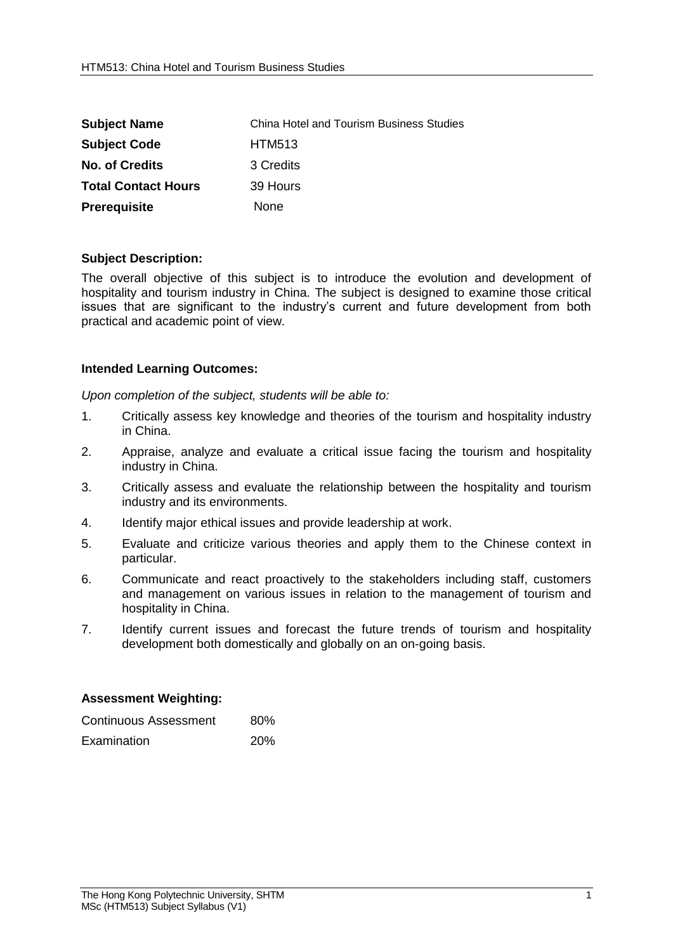| <b>Subject Name</b>        | <b>China Hotel and Tourism Business Studies</b> |
|----------------------------|-------------------------------------------------|
| <b>Subject Code</b>        | <b>HTM513</b>                                   |
| <b>No. of Credits</b>      | 3 Credits                                       |
| <b>Total Contact Hours</b> | 39 Hours                                        |
| <b>Prerequisite</b>        | None                                            |

## **Subject Description:**

The overall objective of this subject is to introduce the evolution and development of hospitality and tourism industry in China. The subject is designed to examine those critical issues that are significant to the industry's current and future development from both practical and academic point of view.

## **Intended Learning Outcomes:**

*Upon completion of the subject, students will be able to:*

- 1. Critically assess key knowledge and theories of the tourism and hospitality industry in China.
- 2. Appraise, analyze and evaluate a critical issue facing the tourism and hospitality industry in China.
- 3. Critically assess and evaluate the relationship between the hospitality and tourism industry and its environments.
- 4. Identify major ethical issues and provide leadership at work.
- 5. Evaluate and criticize various theories and apply them to the Chinese context in particular.
- 6. Communicate and react proactively to the stakeholders including staff, customers and management on various issues in relation to the management of tourism and hospitality in China.
- 7. Identify current issues and forecast the future trends of tourism and hospitality development both domestically and globally on an on-going basis.

## **Assessment Weighting:**

| Continuous Assessment | 80%        |
|-----------------------|------------|
| Examination           | <b>20%</b> |